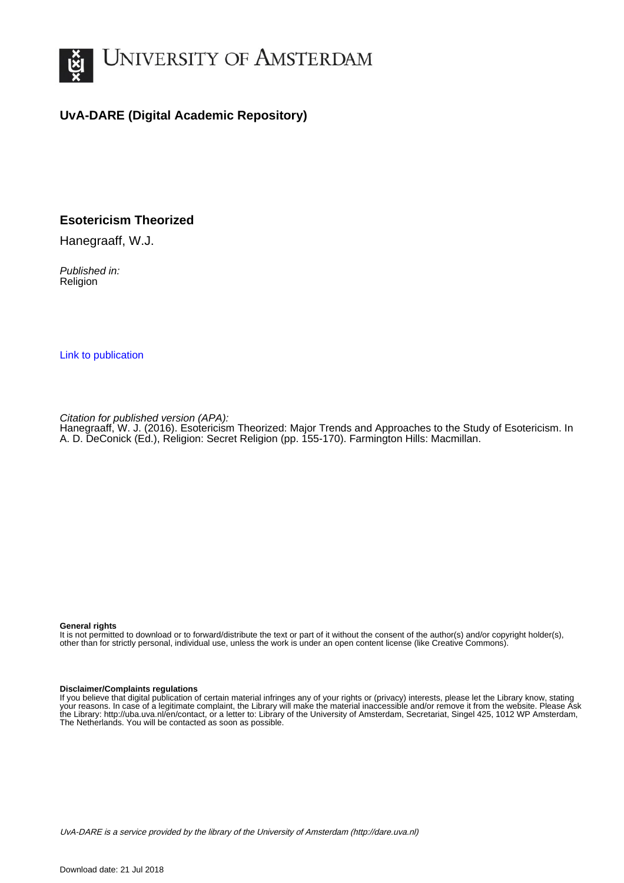

# **UvA-DARE (Digital Academic Repository)**

# **Esotericism Theorized**

Hanegraaff, W.J.

Published in: Religion

[Link to publication](http://dare.uva.nl/personal/pure/en/publications/esotericism-theorized(0e892671-01fd-4383-a947-979ca76f5652).html)

Citation for published version (APA):

Hanegraaff, W. J. (2016). Esotericism Theorized: Major Trends and Approaches to the Study of Esotericism. In A. D. DeConick (Ed.), Religion: Secret Religion (pp. 155-170). Farmington Hills: Macmillan.

#### **General rights**

It is not permitted to download or to forward/distribute the text or part of it without the consent of the author(s) and/or copyright holder(s), other than for strictly personal, individual use, unless the work is under an open content license (like Creative Commons).

#### **Disclaimer/Complaints regulations**

If you believe that digital publication of certain material infringes any of your rights or (privacy) interests, please let the Library know, stating your reasons. In case of a legitimate complaint, the Library will make the material inaccessible and/or remove it from the website. Please Ask the Library: http://uba.uva.nl/en/contact, or a letter to: Library of the University of Amsterdam, Secretariat, Singel 425, 1012 WP Amsterdam, The Netherlands. You will be contacted as soon as possible.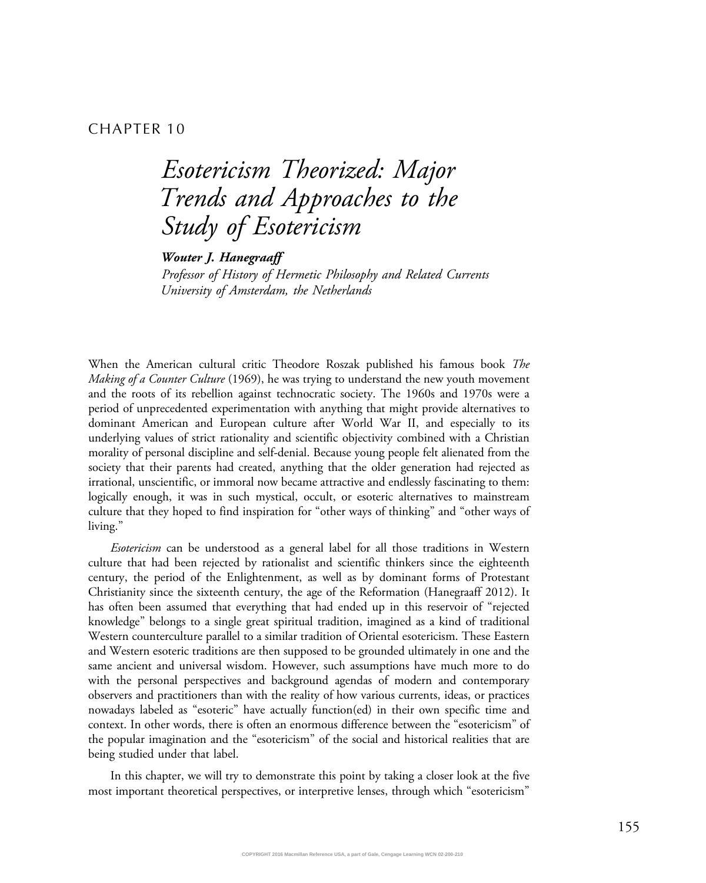## CHAPTER 10

# Esotericism Theorized: Major Trends and Approaches to the Study of Esotericism

Wouter J. Hanegraaff

Professor of History of Hermetic Philosophy and Related Currents University of Amsterdam, the Netherlands

When the American cultural critic Theodore Roszak published his famous book The *Making of a Counter Culture* (1969), he was trying to understand the new youth movement and the roots of its rebellion against technocratic society. The 1960s and 1970s were a period of unprecedented experimentation with anything that might provide alternatives to dominant American and European culture after World War II, and especially to its underlying values of strict rationality and scientific objectivity combined with a Christian morality of personal discipline and self-denial. Because young people felt alienated from the society that their parents had created, anything that the older generation had rejected as irrational, unscientific, or immoral now became attractive and endlessly fascinating to them: logically enough, it was in such mystical, occult, or esoteric alternatives to mainstream culture that they hoped to find inspiration for "other ways of thinking" and "other ways of living."

Esotericism can be understood as a general label for all those traditions in Western culture that had been rejected by rationalist and scientific thinkers since the eighteenth century, the period of the Enlightenment, as well as by dominant forms of Protestant Christianity since the sixteenth century, the age of the Reformation (Hanegraaff 2012). It has often been assumed that everything that had ended up in this reservoir of "rejected knowledge" belongs to a single great spiritual tradition, imagined as a kind of traditional Western counterculture parallel to a similar tradition of Oriental esotericism. These Eastern and Western esoteric traditions are then supposed to be grounded ultimately in one and the same ancient and universal wisdom. However, such assumptions have much more to do with the personal perspectives and background agendas of modern and contemporary observers and practitioners than with the reality of how various currents, ideas, or practices nowadays labeled as "esoteric" have actually function(ed) in their own specific time and context. In other words, there is often an enormous difference between the "esotericism" of the popular imagination and the "esotericism" of the social and historical realities that are being studied under that label.

In this chapter, we will try to demonstrate this point by taking a closer look at the five most important theoretical perspectives, or interpretive lenses, through which "esotericism"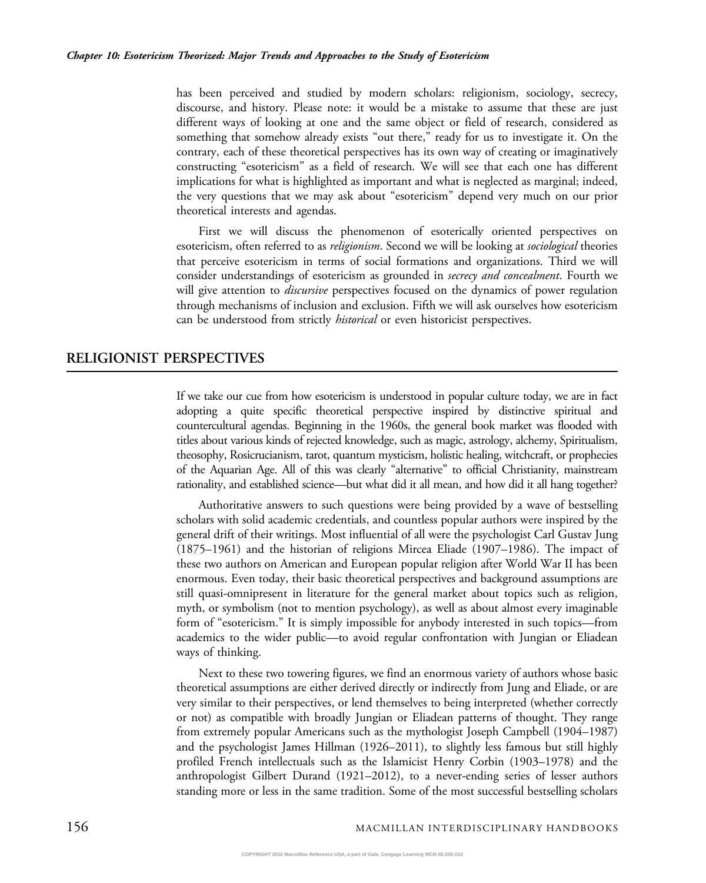has been perceived and studied by modern scholars: religionism, sociology, secrecy, discourse, and history. Please note: it would be a mistake to assume that these are just different ways of looking at one and the same object or field of research, considered as something that somehow already exists "out there," ready for us to investigate it. On the contrary, each of these theoretical perspectives has its own way of creating or imaginatively constructing "esotericism" as a field of research. We will see that each one has different implications for what is highlighted as important and what is neglected as marginal; indeed, the very questions that we may ask about "esotericism" depend very much on our prior theoretical interests and agendas.

First we will discuss the phenomenon of esoterically oriented perspectives on esotericism, often referred to as *religionism*. Second we will be looking at *sociological* theories that perceive esotericism in terms of social formations and organizations. Third we will consider understandings of esotericism as grounded in *secrecy and concealment*. Fourth we will give attention to *discursive* perspectives focused on the dynamics of power regulation through mechanisms of inclusion and exclusion. Fifth we will ask ourselves how esotericism can be understood from strictly *historical* or even historicist perspectives.

### RELIGIONIST PERSPECTIVES

If we take our cue from how esotericism is understood in popular culture today, we are in fact adopting a quite specific theoretical perspective inspired by distinctive spiritual and countercultural agendas. Beginning in the 1960s, the general book market was flooded with titles about various kinds of rejected knowledge, such as magic, astrology, alchemy, Spiritualism, theosophy, Rosicrucianism, tarot, quantum mysticism, holistic healing, witchcraft, or prophecies of the Aquarian Age. All of this was clearly "alternative" to official Christianity, mainstream rationality, and established science—but what did it all mean, and how did it all hang together?

Authoritative answers to such questions were being provided by a wave of bestselling scholars with solid academic credentials, and countless popular authors were inspired by the general drift of their writings. Most influential of all were the psychologist Carl Gustav Jung (1875–1961) and the historian of religions Mircea Eliade (1907–1986). The impact of these two authors on American and European popular religion after World War II has been enormous. Even today, their basic theoretical perspectives and background assumptions are still quasi-omnipresent in literature for the general market about topics such as religion, myth, or symbolism (not to mention psychology), as well as about almost every imaginable form of "esotericism." It is simply impossible for anybody interested in such topics—from academics to the wider public—to avoid regular confrontation with Jungian or Eliadean ways of thinking.

Next to these two towering figures, we find an enormous variety of authors whose basic theoretical assumptions are either derived directly or indirectly from Jung and Eliade, or are very similar to their perspectives, or lend themselves to being interpreted (whether correctly or not) as compatible with broadly Jungian or Eliadean patterns of thought. They range from extremely popular Americans such as the mythologist Joseph Campbell (1904–1987) and the psychologist James Hillman (1926–2011), to slightly less famous but still highly profiled French intellectuals such as the Islamicist Henry Corbin (1903–1978) and the anthropologist Gilbert Durand (1921–2012), to a never-ending series of lesser authors standing more or less in the same tradition. Some of the most successful bestselling scholars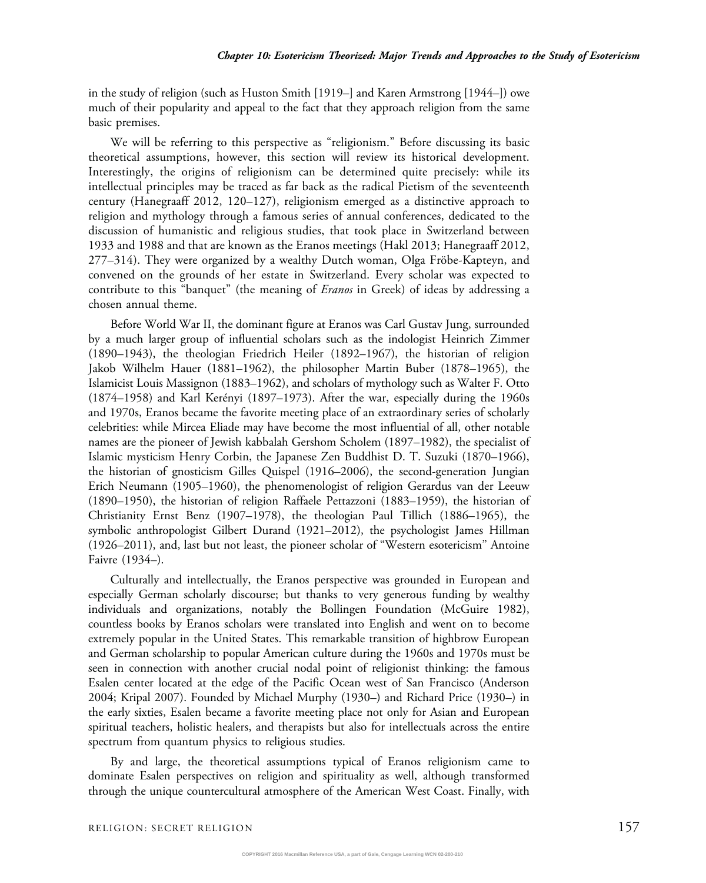in the study of religion (such as Huston Smith [1919–] and Karen Armstrong [1944–]) owe much of their popularity and appeal to the fact that they approach religion from the same basic premises.

We will be referring to this perspective as "religionism." Before discussing its basic theoretical assumptions, however, this section will review its historical development. Interestingly, the origins of religionism can be determined quite precisely: while its intellectual principles may be traced as far back as the radical Pietism of the seventeenth century (Hanegraaff 2012, 120–127), religionism emerged as a distinctive approach to religion and mythology through a famous series of annual conferences, dedicated to the discussion of humanistic and religious studies, that took place in Switzerland between 1933 and 1988 and that are known as the Eranos meetings (Hakl 2013; Hanegraaff 2012, 277–314). They were organized by a wealthy Dutch woman, Olga Fröbe-Kapteyn, and convened on the grounds of her estate in Switzerland. Every scholar was expected to contribute to this "banquet" (the meaning of *Eranos* in Greek) of ideas by addressing a chosen annual theme.

Before World War II, the dominant figure at Eranos was Carl Gustav Jung, surrounded by a much larger group of influential scholars such as the indologist Heinrich Zimmer (1890–1943), the theologian Friedrich Heiler (1892–1967), the historian of religion Jakob Wilhelm Hauer (1881–1962), the philosopher Martin Buber (1878–1965), the Islamicist Louis Massignon (1883–1962), and scholars of mythology such as Walter F. Otto (1874–1958) and Karl Kerényi (1897–1973). After the war, especially during the 1960s and 1970s, Eranos became the favorite meeting place of an extraordinary series of scholarly celebrities: while Mircea Eliade may have become the most influential of all, other notable names are the pioneer of Jewish kabbalah Gershom Scholem (1897–1982), the specialist of Islamic mysticism Henry Corbin, the Japanese Zen Buddhist D. T. Suzuki (1870–1966), the historian of gnosticism Gilles Quispel (1916–2006), the second-generation Jungian Erich Neumann (1905–1960), the phenomenologist of religion Gerardus van der Leeuw (1890–1950), the historian of religion Raffaele Pettazzoni (1883–1959), the historian of Christianity Ernst Benz (1907–1978), the theologian Paul Tillich (1886–1965), the symbolic anthropologist Gilbert Durand (1921–2012), the psychologist James Hillman (1926–2011), and, last but not least, the pioneer scholar of "Western esotericism" Antoine Faivre (1934–).

Culturally and intellectually, the Eranos perspective was grounded in European and especially German scholarly discourse; but thanks to very generous funding by wealthy individuals and organizations, notably the Bollingen Foundation (McGuire 1982), countless books by Eranos scholars were translated into English and went on to become extremely popular in the United States. This remarkable transition of highbrow European and German scholarship to popular American culture during the 1960s and 1970s must be seen in connection with another crucial nodal point of religionist thinking: the famous Esalen center located at the edge of the Pacific Ocean west of San Francisco (Anderson 2004; Kripal 2007). Founded by Michael Murphy (1930–) and Richard Price (1930–) in the early sixties, Esalen became a favorite meeting place not only for Asian and European spiritual teachers, holistic healers, and therapists but also for intellectuals across the entire spectrum from quantum physics to religious studies.

By and large, the theoretical assumptions typical of Eranos religionism came to dominate Esalen perspectives on religion and spirituality as well, although transformed through the unique countercultural atmosphere of the American West Coast. Finally, with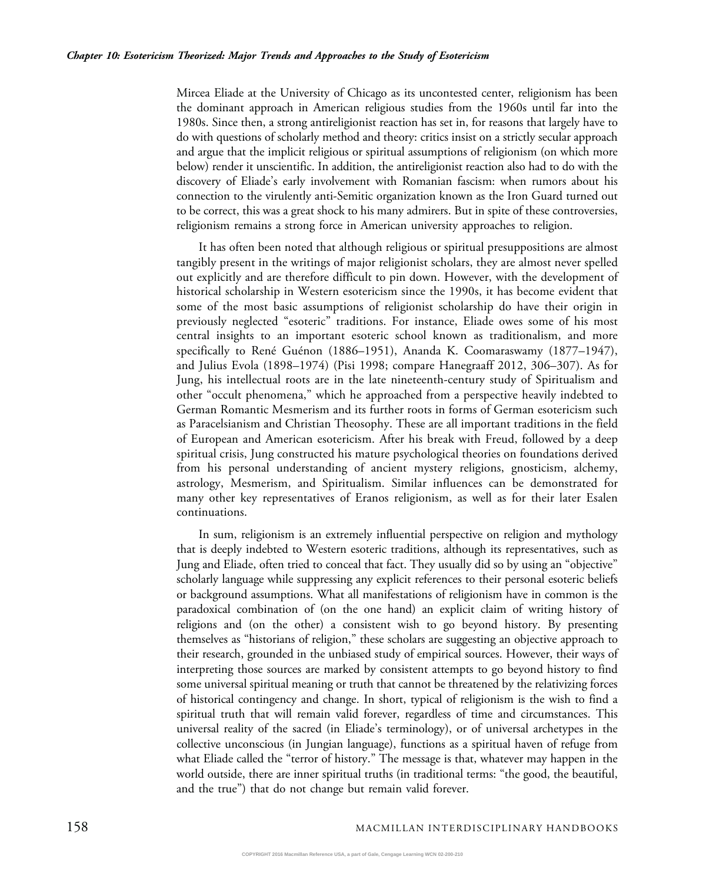Mircea Eliade at the University of Chicago as its uncontested center, religionism has been the dominant approach in American religious studies from the 1960s until far into the 1980s. Since then, a strong antireligionist reaction has set in, for reasons that largely have to do with questions of scholarly method and theory: critics insist on a strictly secular approach and argue that the implicit religious or spiritual assumptions of religionism (on which more below) render it unscientific. In addition, the antireligionist reaction also had to do with the discovery of Eliade's early involvement with Romanian fascism: when rumors about his connection to the virulently anti-Semitic organization known as the Iron Guard turned out to be correct, this was a great shock to his many admirers. But in spite of these controversies, religionism remains a strong force in American university approaches to religion.

It has often been noted that although religious or spiritual presuppositions are almost tangibly present in the writings of major religionist scholars, they are almost never spelled out explicitly and are therefore difficult to pin down. However, with the development of historical scholarship in Western esotericism since the 1990s, it has become evident that some of the most basic assumptions of religionist scholarship do have their origin in previously neglected "esoteric" traditions. For instance, Eliade owes some of his most central insights to an important esoteric school known as traditionalism, and more specifically to René Guénon (1886–1951), Ananda K. Coomaraswamy (1877–1947), and Julius Evola (1898–1974) (Pisi 1998; compare Hanegraaff 2012, 306–307). As for Jung, his intellectual roots are in the late nineteenth-century study of Spiritualism and other "occult phenomena," which he approached from a perspective heavily indebted to German Romantic Mesmerism and its further roots in forms of German esotericism such as Paracelsianism and Christian Theosophy. These are all important traditions in the field of European and American esotericism. After his break with Freud, followed by a deep spiritual crisis, Jung constructed his mature psychological theories on foundations derived from his personal understanding of ancient mystery religions, gnosticism, alchemy, astrology, Mesmerism, and Spiritualism. Similar influences can be demonstrated for many other key representatives of Eranos religionism, as well as for their later Esalen continuations.

In sum, religionism is an extremely influential perspective on religion and mythology that is deeply indebted to Western esoteric traditions, although its representatives, such as Jung and Eliade, often tried to conceal that fact. They usually did so by using an "objective" scholarly language while suppressing any explicit references to their personal esoteric beliefs or background assumptions. What all manifestations of religionism have in common is the paradoxical combination of (on the one hand) an explicit claim of writing history of religions and (on the other) a consistent wish to go beyond history. By presenting themselves as "historians of religion," these scholars are suggesting an objective approach to their research, grounded in the unbiased study of empirical sources. However, their ways of interpreting those sources are marked by consistent attempts to go beyond history to find some universal spiritual meaning or truth that cannot be threatened by the relativizing forces of historical contingency and change. In short, typical of religionism is the wish to find a spiritual truth that will remain valid forever, regardless of time and circumstances. This universal reality of the sacred (in Eliade's terminology), or of universal archetypes in the collective unconscious (in Jungian language), functions as a spiritual haven of refuge from what Eliade called the "terror of history." The message is that, whatever may happen in the world outside, there are inner spiritual truths (in traditional terms: "the good, the beautiful, and the true") that do not change but remain valid forever.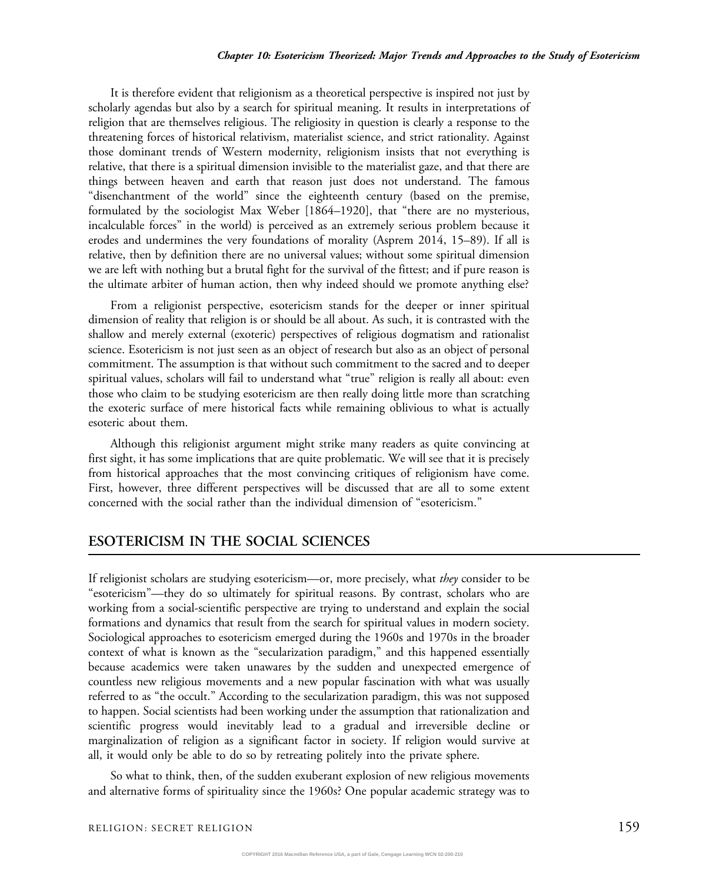It is therefore evident that religionism as a theoretical perspective is inspired not just by scholarly agendas but also by a search for spiritual meaning. It results in interpretations of religion that are themselves religious. The religiosity in question is clearly a response to the threatening forces of historical relativism, materialist science, and strict rationality. Against those dominant trends of Western modernity, religionism insists that not everything is relative, that there is a spiritual dimension invisible to the materialist gaze, and that there are things between heaven and earth that reason just does not understand. The famous "disenchantment of the world" since the eighteenth century (based on the premise, formulated by the sociologist Max Weber [1864–1920], that "there are no mysterious, incalculable forces" in the world) is perceived as an extremely serious problem because it erodes and undermines the very foundations of morality (Asprem 2014, 15–89). If all is relative, then by definition there are no universal values; without some spiritual dimension we are left with nothing but a brutal fight for the survival of the fittest; and if pure reason is the ultimate arbiter of human action, then why indeed should we promote anything else?

From a religionist perspective, esotericism stands for the deeper or inner spiritual dimension of reality that religion is or should be all about. As such, it is contrasted with the shallow and merely external (exoteric) perspectives of religious dogmatism and rationalist science. Esotericism is not just seen as an object of research but also as an object of personal commitment. The assumption is that without such commitment to the sacred and to deeper spiritual values, scholars will fail to understand what "true" religion is really all about: even those who claim to be studying esotericism are then really doing little more than scratching the exoteric surface of mere historical facts while remaining oblivious to what is actually esoteric about them.

Although this religionist argument might strike many readers as quite convincing at first sight, it has some implications that are quite problematic. We will see that it is precisely from historical approaches that the most convincing critiques of religionism have come. First, however, three different perspectives will be discussed that are all to some extent concerned with the social rather than the individual dimension of "esotericism."

#### ESOTERICISM IN THE SOCIAL SCIENCES

If religionist scholars are studying esotericism—or, more precisely, what they consider to be "esotericism"—they do so ultimately for spiritual reasons. By contrast, scholars who are working from a social-scientific perspective are trying to understand and explain the social formations and dynamics that result from the search for spiritual values in modern society. Sociological approaches to esotericism emerged during the 1960s and 1970s in the broader context of what is known as the "secularization paradigm," and this happened essentially because academics were taken unawares by the sudden and unexpected emergence of countless new religious movements and a new popular fascination with what was usually referred to as "the occult." According to the secularization paradigm, this was not supposed to happen. Social scientists had been working under the assumption that rationalization and scientific progress would inevitably lead to a gradual and irreversible decline or marginalization of religion as a significant factor in society. If religion would survive at all, it would only be able to do so by retreating politely into the private sphere.

So what to think, then, of the sudden exuberant explosion of new religious movements and alternative forms of spirituality since the 1960s? One popular academic strategy was to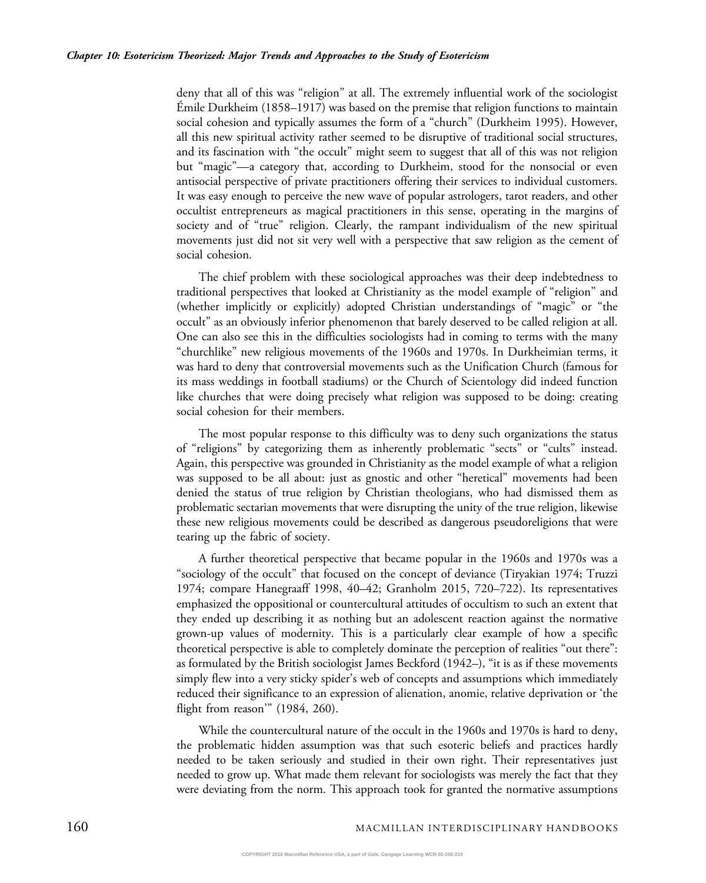deny that all of this was "religion" at all. The extremely influential work of the sociologist Émile Durkheim (1858–1917) was based on the premise that religion functions to maintain social cohesion and typically assumes the form of a "church" (Durkheim 1995). However, all this new spiritual activity rather seemed to be disruptive of traditional social structures, and its fascination with "the occult" might seem to suggest that all of this was not religion but "magic"—a category that, according to Durkheim, stood for the nonsocial or even antisocial perspective of private practitioners offering their services to individual customers. It was easy enough to perceive the new wave of popular astrologers, tarot readers, and other occultist entrepreneurs as magical practitioners in this sense, operating in the margins of society and of "true" religion. Clearly, the rampant individualism of the new spiritual movements just did not sit very well with a perspective that saw religion as the cement of social cohesion.

The chief problem with these sociological approaches was their deep indebtedness to traditional perspectives that looked at Christianity as the model example of "religion" and (whether implicitly or explicitly) adopted Christian understandings of "magic" or "the occult" as an obviously inferior phenomenon that barely deserved to be called religion at all. One can also see this in the difficulties sociologists had in coming to terms with the many "churchlike" new religious movements of the 1960s and 1970s. In Durkheimian terms, it was hard to deny that controversial movements such as the Unification Church (famous for its mass weddings in football stadiums) or the Church of Scientology did indeed function like churches that were doing precisely what religion was supposed to be doing: creating social cohesion for their members.

The most popular response to this difficulty was to deny such organizations the status of "religions" by categorizing them as inherently problematic "sects" or "cults" instead. Again, this perspective was grounded in Christianity as the model example of what a religion was supposed to be all about: just as gnostic and other "heretical" movements had been denied the status of true religion by Christian theologians, who had dismissed them as problematic sectarian movements that were disrupting the unity of the true religion, likewise these new religious movements could be described as dangerous pseudoreligions that were tearing up the fabric of society.

A further theoretical perspective that became popular in the 1960s and 1970s was a "sociology of the occult" that focused on the concept of deviance (Tiryakian 1974; Truzzi 1974; compare Hanegraaff 1998, 40–42; Granholm 2015, 720–722). Its representatives emphasized the oppositional or countercultural attitudes of occultism to such an extent that they ended up describing it as nothing but an adolescent reaction against the normative grown-up values of modernity. This is a particularly clear example of how a specific theoretical perspective is able to completely dominate the perception of realities "out there": as formulated by the British sociologist James Beckford (1942–), "it is as if these movements simply flew into a very sticky spider's web of concepts and assumptions which immediately reduced their significance to an expression of alienation, anomie, relative deprivation or 'the flight from reason'" (1984, 260).

While the countercultural nature of the occult in the 1960s and 1970s is hard to deny, the problematic hidden assumption was that such esoteric beliefs and practices hardly needed to be taken seriously and studied in their own right. Their representatives just needed to grow up. What made them relevant for sociologists was merely the fact that they were deviating from the norm. This approach took for granted the normative assumptions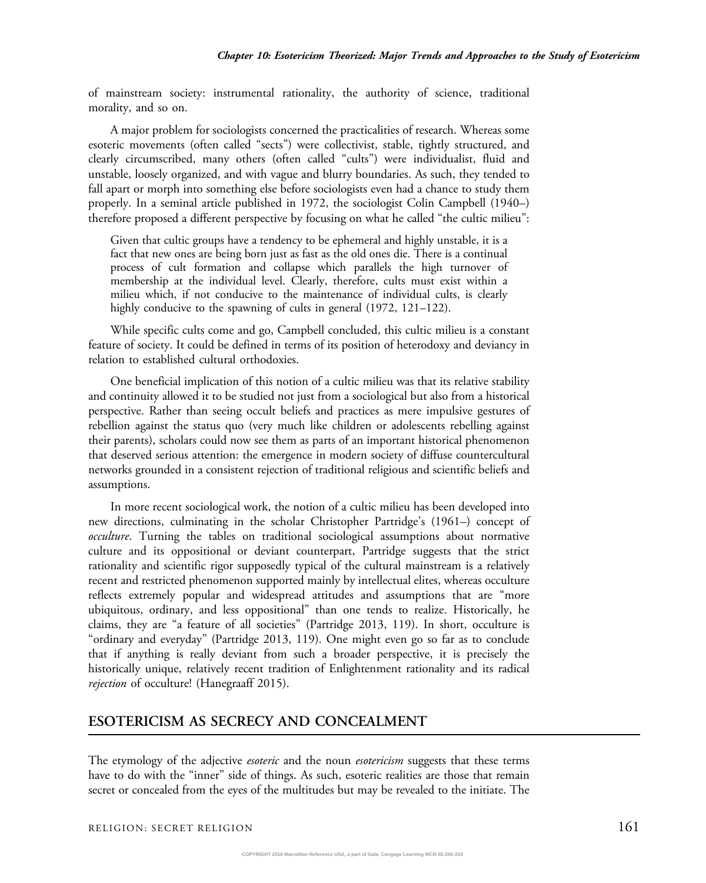of mainstream society: instrumental rationality, the authority of science, traditional morality, and so on.

A major problem for sociologists concerned the practicalities of research. Whereas some esoteric movements (often called "sects") were collectivist, stable, tightly structured, and clearly circumscribed, many others (often called "cults") were individualist, fluid and unstable, loosely organized, and with vague and blurry boundaries. As such, they tended to fall apart or morph into something else before sociologists even had a chance to study them properly. In a seminal article published in 1972, the sociologist Colin Campbell (1940–) therefore proposed a different perspective by focusing on what he called "the cultic milieu":

Given that cultic groups have a tendency to be ephemeral and highly unstable, it is a fact that new ones are being born just as fast as the old ones die. There is a continual process of cult formation and collapse which parallels the high turnover of membership at the individual level. Clearly, therefore, cults must exist within a milieu which, if not conducive to the maintenance of individual cults, is clearly highly conducive to the spawning of cults in general (1972, 121–122).

While specific cults come and go, Campbell concluded, this cultic milieu is a constant feature of society. It could be defined in terms of its position of heterodoxy and deviancy in relation to established cultural orthodoxies.

One beneficial implication of this notion of a cultic milieu was that its relative stability and continuity allowed it to be studied not just from a sociological but also from a historical perspective. Rather than seeing occult beliefs and practices as mere impulsive gestures of rebellion against the status quo (very much like children or adolescents rebelling against their parents), scholars could now see them as parts of an important historical phenomenon that deserved serious attention: the emergence in modern society of diffuse countercultural networks grounded in a consistent rejection of traditional religious and scientific beliefs and assumptions.

In more recent sociological work, the notion of a cultic milieu has been developed into new directions, culminating in the scholar Christopher Partridge's (1961–) concept of occulture. Turning the tables on traditional sociological assumptions about normative culture and its oppositional or deviant counterpart, Partridge suggests that the strict rationality and scientific rigor supposedly typical of the cultural mainstream is a relatively recent and restricted phenomenon supported mainly by intellectual elites, whereas occulture reflects extremely popular and widespread attitudes and assumptions that are "more ubiquitous, ordinary, and less oppositional" than one tends to realize. Historically, he claims, they are "a feature of all societies" (Partridge 2013, 119). In short, occulture is "ordinary and everyday" (Partridge 2013, 119). One might even go so far as to conclude that if anything is really deviant from such a broader perspective, it is precisely the historically unique, relatively recent tradition of Enlightenment rationality and its radical rejection of occulture! (Hanegraaff 2015).

#### ESOTERICISM AS SECRECY AND CONCEALMENT

The etymology of the adjective *esoteric* and the noun *esotericism* suggests that these terms have to do with the "inner" side of things. As such, esoteric realities are those that remain secret or concealed from the eyes of the multitudes but may be revealed to the initiate. The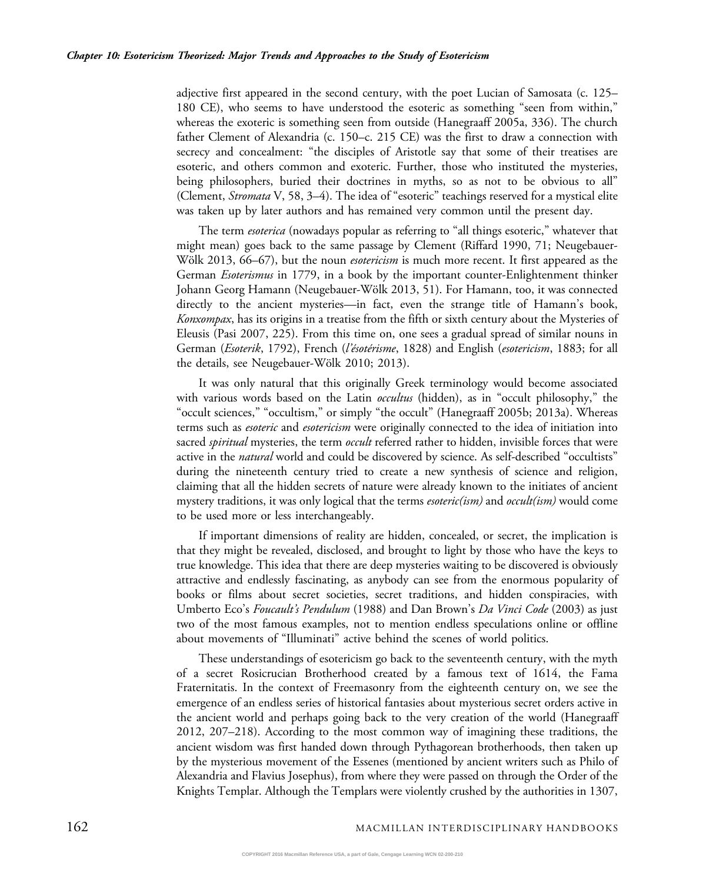adjective first appeared in the second century, with the poet Lucian of Samosata (c. 125– 180 CE), who seems to have understood the esoteric as something "seen from within," whereas the exoteric is something seen from outside (Hanegraaff 2005a, 336). The church father Clement of Alexandria (c. 150–c. 215 CE) was the first to draw a connection with secrecy and concealment: "the disciples of Aristotle say that some of their treatises are esoteric, and others common and exoteric. Further, those who instituted the mysteries, being philosophers, buried their doctrines in myths, so as not to be obvious to all" (Clement, *Stromata* V, 58, 3–4). The idea of "esoteric" teachings reserved for a mystical elite was taken up by later authors and has remained very common until the present day.

The term *esoterica* (nowadays popular as referring to "all things esoteric," whatever that might mean) goes back to the same passage by Clement (Riffard 1990, 71; Neugebauer-Wölk 2013, 66–67), but the noun *esotericism* is much more recent. It first appeared as the German *Esoterismus* in 1779, in a book by the important counter-Enlightenment thinker Johann Georg Hamann (Neugebauer-Wölk 2013, 51). For Hamann, too, it was connected directly to the ancient mysteries—in fact, even the strange title of Hamann's book, Konxompax, has its origins in a treatise from the fifth or sixth century about the Mysteries of Eleusis (Pasi 2007, 225). From this time on, one sees a gradual spread of similar nouns in German (Esoterik, 1792), French (l'ésotérisme, 1828) and English (esotericism, 1883; for all the details, see Neugebauer-Wölk 2010; 2013).

It was only natural that this originally Greek terminology would become associated with various words based on the Latin *occultus* (hidden), as in "occult philosophy," the "occult sciences," "occultism," or simply "the occult" (Hanegraaff 2005b; 2013a). Whereas terms such as *esoteric* and *esotericism* were originally connected to the idea of initiation into sacred *spiritual* mysteries, the term *occult* referred rather to hidden, invisible forces that were active in the *natural* world and could be discovered by science. As self-described "occultists" during the nineteenth century tried to create a new synthesis of science and religion, claiming that all the hidden secrets of nature were already known to the initiates of ancient mystery traditions, it was only logical that the terms *esoteric(ism)* and *occult(ism)* would come to be used more or less interchangeably.

If important dimensions of reality are hidden, concealed, or secret, the implication is that they might be revealed, disclosed, and brought to light by those who have the keys to true knowledge. This idea that there are deep mysteries waiting to be discovered is obviously attractive and endlessly fascinating, as anybody can see from the enormous popularity of books or films about secret societies, secret traditions, and hidden conspiracies, with Umberto Eco's Foucault's Pendulum (1988) and Dan Brown's Da Vinci Code (2003) as just two of the most famous examples, not to mention endless speculations online or offline about movements of "Illuminati" active behind the scenes of world politics.

These understandings of esotericism go back to the seventeenth century, with the myth of a secret Rosicrucian Brotherhood created by a famous text of 1614, the Fama Fraternitatis. In the context of Freemasonry from the eighteenth century on, we see the emergence of an endless series of historical fantasies about mysterious secret orders active in the ancient world and perhaps going back to the very creation of the world (Hanegraaff 2012, 207–218). According to the most common way of imagining these traditions, the ancient wisdom was first handed down through Pythagorean brotherhoods, then taken up by the mysterious movement of the Essenes (mentioned by ancient writers such as Philo of Alexandria and Flavius Josephus), from where they were passed on through the Order of the Knights Templar. Although the Templars were violently crushed by the authorities in 1307,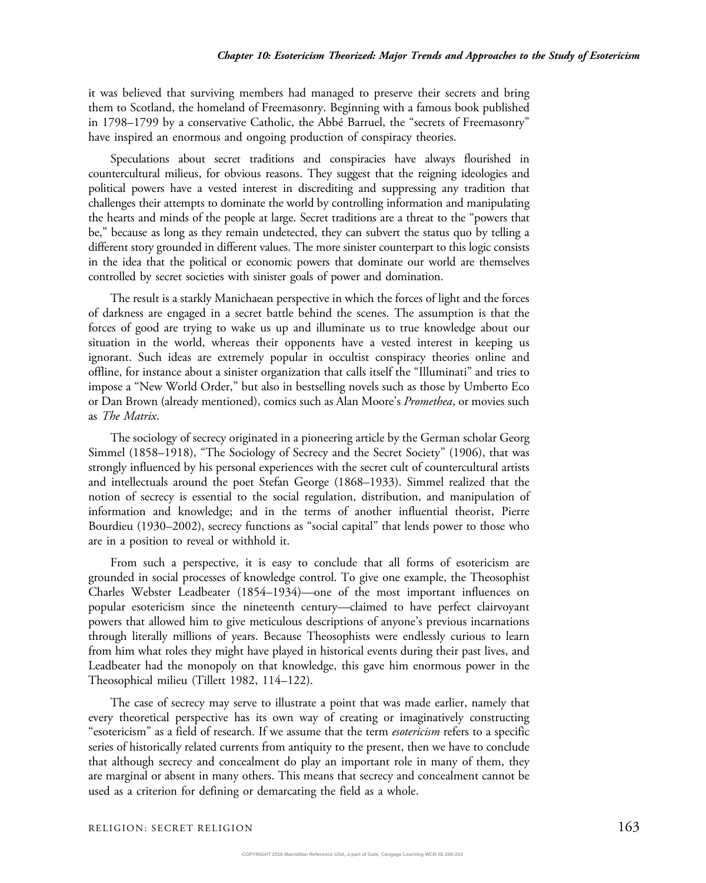it was believed that surviving members had managed to preserve their secrets and bring them to Scotland, the homeland of Freemasonry. Beginning with a famous book published in 1798–1799 by a conservative Catholic, the Abbé Barruel, the "secrets of Freemasonry" have inspired an enormous and ongoing production of conspiracy theories.

Speculations about secret traditions and conspiracies have always flourished in countercultural milieus, for obvious reasons. They suggest that the reigning ideologies and political powers have a vested interest in discrediting and suppressing any tradition that challenges their attempts to dominate the world by controlling information and manipulating the hearts and minds of the people at large. Secret traditions are a threat to the "powers that be," because as long as they remain undetected, they can subvert the status quo by telling a different story grounded in different values. The more sinister counterpart to this logic consists in the idea that the political or economic powers that dominate our world are themselves controlled by secret societies with sinister goals of power and domination.

The result is a starkly Manichaean perspective in which the forces of light and the forces of darkness are engaged in a secret battle behind the scenes. The assumption is that the forces of good are trying to wake us up and illuminate us to true knowledge about our situation in the world, whereas their opponents have a vested interest in keeping us ignorant. Such ideas are extremely popular in occultist conspiracy theories online and offline, for instance about a sinister organization that calls itself the "Illuminati" and tries to impose a "New World Order," but also in bestselling novels such as those by Umberto Eco or Dan Brown (already mentioned), comics such as Alan Moore's *Promethea*, or movies such as The Matrix.

The sociology of secrecy originated in a pioneering article by the German scholar Georg Simmel (1858–1918), "The Sociology of Secrecy and the Secret Society" (1906), that was strongly influenced by his personal experiences with the secret cult of countercultural artists and intellectuals around the poet Stefan George (1868–1933). Simmel realized that the notion of secrecy is essential to the social regulation, distribution, and manipulation of information and knowledge; and in the terms of another influential theorist, Pierre Bourdieu (1930–2002), secrecy functions as "social capital" that lends power to those who are in a position to reveal or withhold it.

From such a perspective, it is easy to conclude that all forms of esotericism are grounded in social processes of knowledge control. To give one example, the Theosophist Charles Webster Leadbeater (1854–1934)—one of the most important influences on popular esotericism since the nineteenth century—claimed to have perfect clairvoyant powers that allowed him to give meticulous descriptions of anyone's previous incarnations through literally millions of years. Because Theosophists were endlessly curious to learn from him what roles they might have played in historical events during their past lives, and Leadbeater had the monopoly on that knowledge, this gave him enormous power in the Theosophical milieu (Tillett 1982, 114–122).

The case of secrecy may serve to illustrate a point that was made earlier, namely that every theoretical perspective has its own way of creating or imaginatively constructing "esotericism" as a field of research. If we assume that the term esotericism refers to a specific series of historically related currents from antiquity to the present, then we have to conclude that although secrecy and concealment do play an important role in many of them, they are marginal or absent in many others. This means that secrecy and concealment cannot be used as a criterion for defining or demarcating the field as a whole.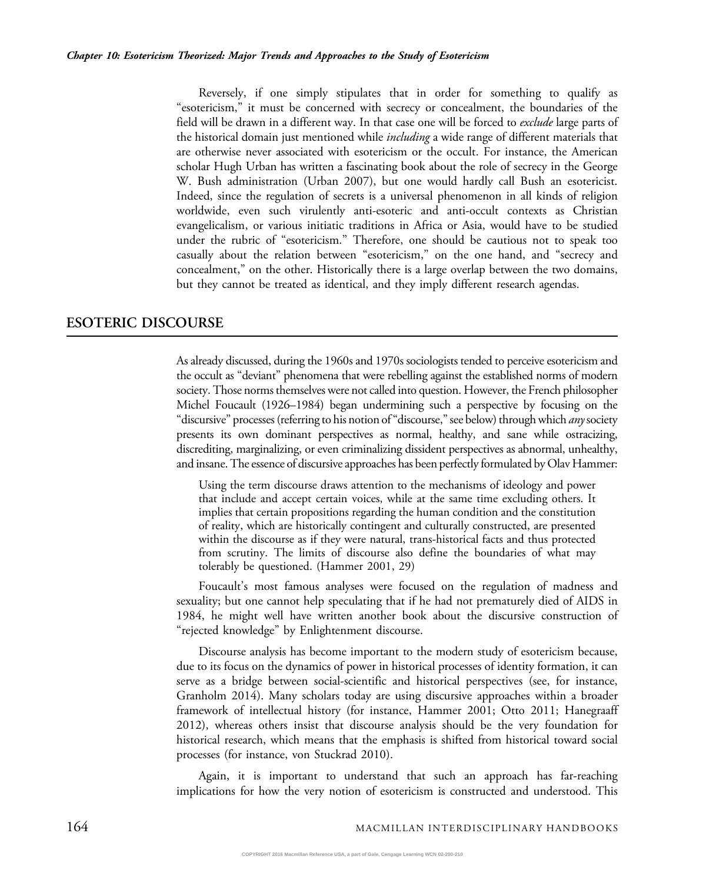Reversely, if one simply stipulates that in order for something to qualify as "esotericism," it must be concerned with secrecy or concealment, the boundaries of the field will be drawn in a different way. In that case one will be forced to *exclude* large parts of the historical domain just mentioned while *including* a wide range of different materials that are otherwise never associated with esotericism or the occult. For instance, the American scholar Hugh Urban has written a fascinating book about the role of secrecy in the George W. Bush administration (Urban 2007), but one would hardly call Bush an esotericist. Indeed, since the regulation of secrets is a universal phenomenon in all kinds of religion worldwide, even such virulently anti-esoteric and anti-occult contexts as Christian evangelicalism, or various initiatic traditions in Africa or Asia, would have to be studied under the rubric of "esotericism." Therefore, one should be cautious not to speak too casually about the relation between "esotericism," on the one hand, and "secrecy and concealment," on the other. Historically there is a large overlap between the two domains, but they cannot be treated as identical, and they imply different research agendas.

## ESOTERIC DISCOURSE

As already discussed, during the 1960s and 1970s sociologists tended to perceive esotericism and the occult as "deviant" phenomena that were rebelling against the established norms of modern society. Those norms themselves were not called into question. However, the French philosopher Michel Foucault (1926–1984) began undermining such a perspective by focusing on the "discursive" processes (referring to his notion of "discourse," see below) through which *any* society presents its own dominant perspectives as normal, healthy, and sane while ostracizing, discrediting, marginalizing, or even criminalizing dissident perspectives as abnormal, unhealthy, and insane. The essence of discursive approaches has been perfectly formulated by Olav Hammer:

Using the term discourse draws attention to the mechanisms of ideology and power that include and accept certain voices, while at the same time excluding others. It implies that certain propositions regarding the human condition and the constitution of reality, which are historically contingent and culturally constructed, are presented within the discourse as if they were natural, trans-historical facts and thus protected from scrutiny. The limits of discourse also define the boundaries of what may tolerably be questioned. (Hammer 2001, 29)

Foucault's most famous analyses were focused on the regulation of madness and sexuality; but one cannot help speculating that if he had not prematurely died of AIDS in 1984, he might well have written another book about the discursive construction of "rejected knowledge" by Enlightenment discourse.

Discourse analysis has become important to the modern study of esotericism because, due to its focus on the dynamics of power in historical processes of identity formation, it can serve as a bridge between social-scientific and historical perspectives (see, for instance, Granholm 2014). Many scholars today are using discursive approaches within a broader framework of intellectual history (for instance, Hammer 2001; Otto 2011; Hanegraaff 2012), whereas others insist that discourse analysis should be the very foundation for historical research, which means that the emphasis is shifted from historical toward social processes (for instance, von Stuckrad 2010).

Again, it is important to understand that such an approach has far-reaching implications for how the very notion of esotericism is constructed and understood. This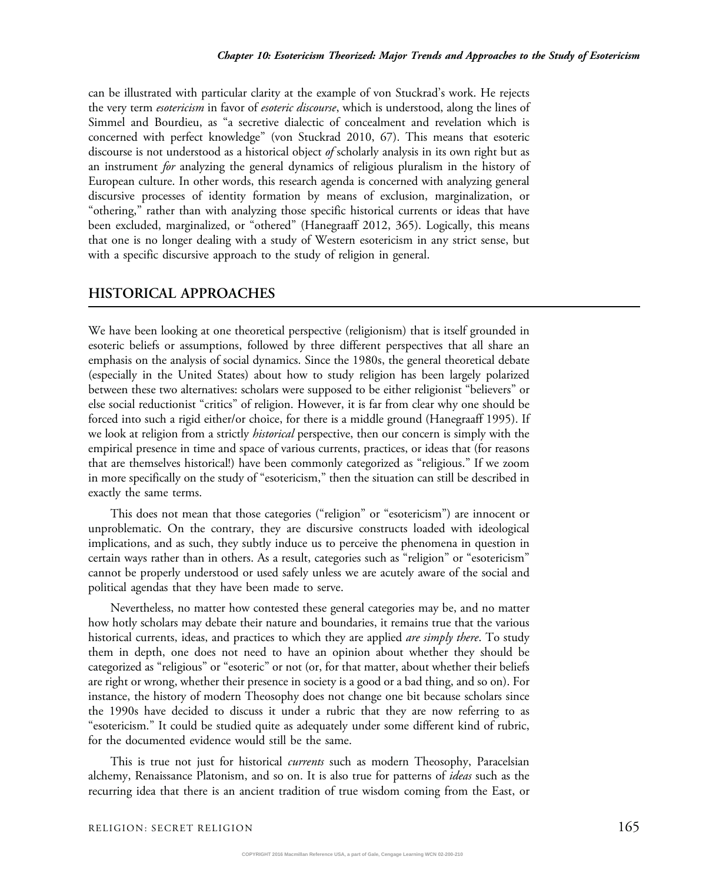can be illustrated with particular clarity at the example of von Stuckrad's work. He rejects the very term *esotericism* in favor of *esoteric discourse*, which is understood, along the lines of Simmel and Bourdieu, as "a secretive dialectic of concealment and revelation which is concerned with perfect knowledge" (von Stuckrad 2010, 67). This means that esoteric discourse is not understood as a historical object of scholarly analysis in its own right but as an instrument for analyzing the general dynamics of religious pluralism in the history of European culture. In other words, this research agenda is concerned with analyzing general discursive processes of identity formation by means of exclusion, marginalization, or "othering," rather than with analyzing those specific historical currents or ideas that have been excluded, marginalized, or "othered" (Hanegraaff 2012, 365). Logically, this means that one is no longer dealing with a study of Western esotericism in any strict sense, but with a specific discursive approach to the study of religion in general.

#### HISTORICAL APPROACHES

We have been looking at one theoretical perspective (religionism) that is itself grounded in esoteric beliefs or assumptions, followed by three different perspectives that all share an emphasis on the analysis of social dynamics. Since the 1980s, the general theoretical debate (especially in the United States) about how to study religion has been largely polarized between these two alternatives: scholars were supposed to be either religionist "believers" or else social reductionist "critics" of religion. However, it is far from clear why one should be forced into such a rigid either/or choice, for there is a middle ground (Hanegraaff 1995). If we look at religion from a strictly *historical* perspective, then our concern is simply with the empirical presence in time and space of various currents, practices, or ideas that (for reasons that are themselves historical!) have been commonly categorized as "religious." If we zoom in more specifically on the study of "esotericism," then the situation can still be described in exactly the same terms.

This does not mean that those categories ("religion" or "esotericism") are innocent or unproblematic. On the contrary, they are discursive constructs loaded with ideological implications, and as such, they subtly induce us to perceive the phenomena in question in certain ways rather than in others. As a result, categories such as "religion" or "esotericism" cannot be properly understood or used safely unless we are acutely aware of the social and political agendas that they have been made to serve.

Nevertheless, no matter how contested these general categories may be, and no matter how hotly scholars may debate their nature and boundaries, it remains true that the various historical currents, ideas, and practices to which they are applied *are simply there*. To study them in depth, one does not need to have an opinion about whether they should be categorized as "religious" or "esoteric" or not (or, for that matter, about whether their beliefs are right or wrong, whether their presence in society is a good or a bad thing, and so on). For instance, the history of modern Theosophy does not change one bit because scholars since the 1990s have decided to discuss it under a rubric that they are now referring to as "esotericism." It could be studied quite as adequately under some different kind of rubric, for the documented evidence would still be the same.

This is true not just for historical *currents* such as modern Theosophy, Paracelsian alchemy, Renaissance Platonism, and so on. It is also true for patterns of ideas such as the recurring idea that there is an ancient tradition of true wisdom coming from the East, or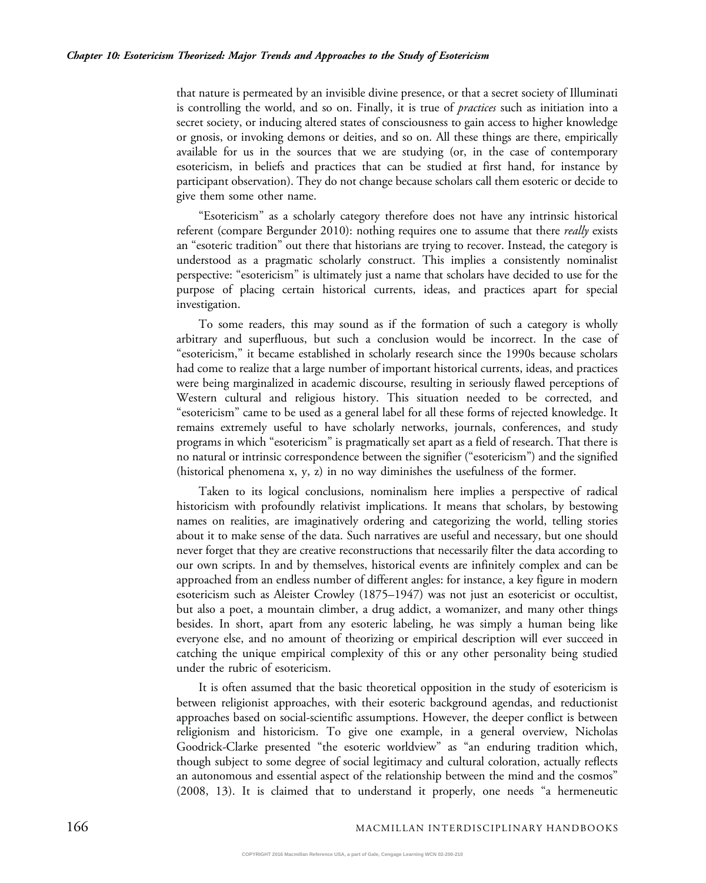that nature is permeated by an invisible divine presence, or that a secret society of Illuminati is controlling the world, and so on. Finally, it is true of *practices* such as initiation into a secret society, or inducing altered states of consciousness to gain access to higher knowledge or gnosis, or invoking demons or deities, and so on. All these things are there, empirically available for us in the sources that we are studying (or, in the case of contemporary esotericism, in beliefs and practices that can be studied at first hand, for instance by participant observation). They do not change because scholars call them esoteric or decide to give them some other name.

"Esotericism" as a scholarly category therefore does not have any intrinsic historical referent (compare Bergunder 2010): nothing requires one to assume that there *really* exists an "esoteric tradition" out there that historians are trying to recover. Instead, the category is understood as a pragmatic scholarly construct. This implies a consistently nominalist perspective: "esotericism" is ultimately just a name that scholars have decided to use for the purpose of placing certain historical currents, ideas, and practices apart for special investigation.

To some readers, this may sound as if the formation of such a category is wholly arbitrary and superfluous, but such a conclusion would be incorrect. In the case of "esotericism," it became established in scholarly research since the 1990s because scholars had come to realize that a large number of important historical currents, ideas, and practices were being marginalized in academic discourse, resulting in seriously flawed perceptions of Western cultural and religious history. This situation needed to be corrected, and "esotericism" came to be used as a general label for all these forms of rejected knowledge. It remains extremely useful to have scholarly networks, journals, conferences, and study programs in which "esotericism" is pragmatically set apart as a field of research. That there is no natural or intrinsic correspondence between the signifier ("esotericism") and the signified (historical phenomena x, y, z) in no way diminishes the usefulness of the former.

Taken to its logical conclusions, nominalism here implies a perspective of radical historicism with profoundly relativist implications. It means that scholars, by bestowing names on realities, are imaginatively ordering and categorizing the world, telling stories about it to make sense of the data. Such narratives are useful and necessary, but one should never forget that they are creative reconstructions that necessarily filter the data according to our own scripts. In and by themselves, historical events are infinitely complex and can be approached from an endless number of different angles: for instance, a key figure in modern esotericism such as Aleister Crowley (1875–1947) was not just an esotericist or occultist, but also a poet, a mountain climber, a drug addict, a womanizer, and many other things besides. In short, apart from any esoteric labeling, he was simply a human being like everyone else, and no amount of theorizing or empirical description will ever succeed in catching the unique empirical complexity of this or any other personality being studied under the rubric of esotericism.

It is often assumed that the basic theoretical opposition in the study of esotericism is between religionist approaches, with their esoteric background agendas, and reductionist approaches based on social-scientific assumptions. However, the deeper conflict is between religionism and historicism. To give one example, in a general overview, Nicholas Goodrick-Clarke presented "the esoteric worldview" as "an enduring tradition which, though subject to some degree of social legitimacy and cultural coloration, actually reflects an autonomous and essential aspect of the relationship between the mind and the cosmos" (2008, 13). It is claimed that to understand it properly, one needs "a hermeneutic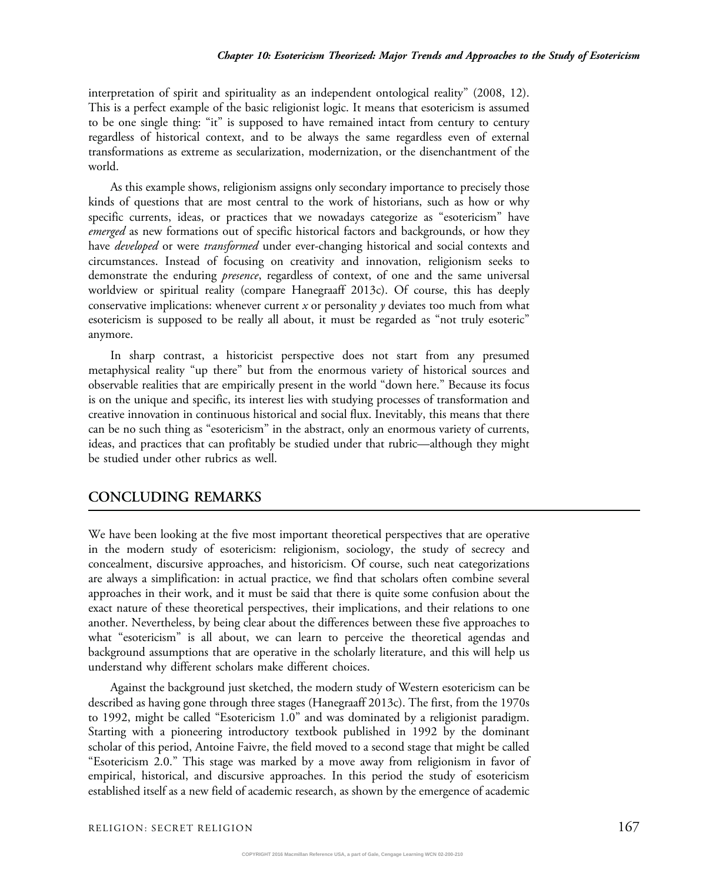interpretation of spirit and spirituality as an independent ontological reality" (2008, 12). This is a perfect example of the basic religionist logic. It means that esotericism is assumed to be one single thing: "it" is supposed to have remained intact from century to century regardless of historical context, and to be always the same regardless even of external transformations as extreme as secularization, modernization, or the disenchantment of the world.

As this example shows, religionism assigns only secondary importance to precisely those kinds of questions that are most central to the work of historians, such as how or why specific currents, ideas, or practices that we nowadays categorize as "esotericism" have emerged as new formations out of specific historical factors and backgrounds, or how they have *developed* or were *transformed* under ever-changing historical and social contexts and circumstances. Instead of focusing on creativity and innovation, religionism seeks to demonstrate the enduring *presence*, regardless of context, of one and the same universal worldview or spiritual reality (compare Hanegraaff 2013c). Of course, this has deeply conservative implications: whenever current x or personality  $\gamma$  deviates too much from what esotericism is supposed to be really all about, it must be regarded as "not truly esoteric" anymore.

In sharp contrast, a historicist perspective does not start from any presumed metaphysical reality "up there" but from the enormous variety of historical sources and observable realities that are empirically present in the world "down here." Because its focus is on the unique and specific, its interest lies with studying processes of transformation and creative innovation in continuous historical and social flux. Inevitably, this means that there can be no such thing as "esotericism" in the abstract, only an enormous variety of currents, ideas, and practices that can profitably be studied under that rubric—although they might be studied under other rubrics as well.

## CONCLUDING REMARKS

We have been looking at the five most important theoretical perspectives that are operative in the modern study of esotericism: religionism, sociology, the study of secrecy and concealment, discursive approaches, and historicism. Of course, such neat categorizations are always a simplification: in actual practice, we find that scholars often combine several approaches in their work, and it must be said that there is quite some confusion about the exact nature of these theoretical perspectives, their implications, and their relations to one another. Nevertheless, by being clear about the differences between these five approaches to what "esotericism" is all about, we can learn to perceive the theoretical agendas and background assumptions that are operative in the scholarly literature, and this will help us understand why different scholars make different choices.

Against the background just sketched, the modern study of Western esotericism can be described as having gone through three stages (Hanegraaff 2013c). The first, from the 1970s to 1992, might be called "Esotericism 1.0" and was dominated by a religionist paradigm. Starting with a pioneering introductory textbook published in 1992 by the dominant scholar of this period, Antoine Faivre, the field moved to a second stage that might be called "Esotericism 2.0." This stage was marked by a move away from religionism in favor of empirical, historical, and discursive approaches. In this period the study of esotericism established itself as a new field of academic research, as shown by the emergence of academic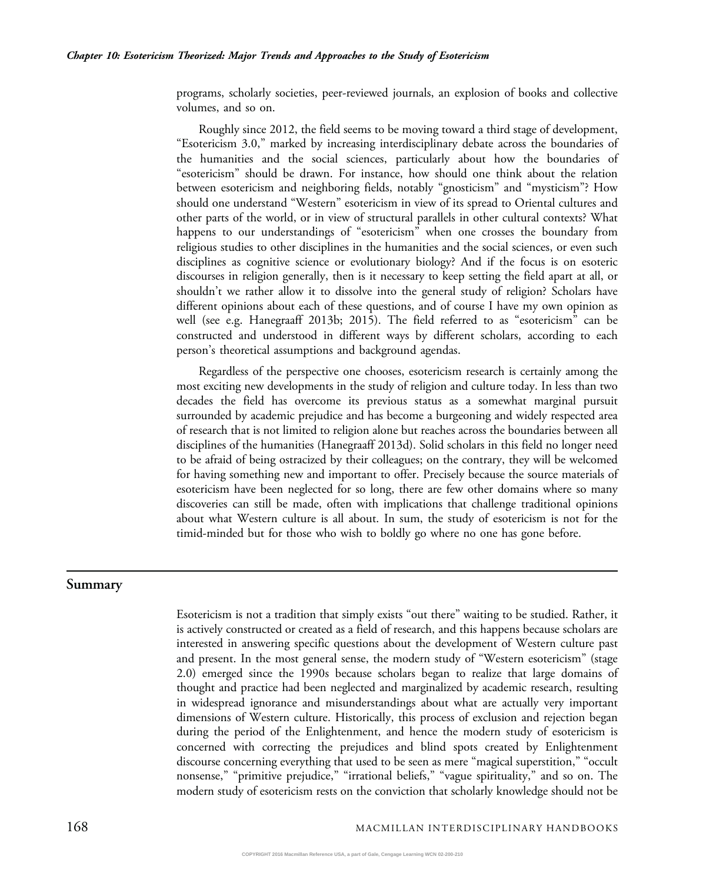programs, scholarly societies, peer-reviewed journals, an explosion of books and collective volumes, and so on.

Roughly since 2012, the field seems to be moving toward a third stage of development, "Esotericism 3.0," marked by increasing interdisciplinary debate across the boundaries of the humanities and the social sciences, particularly about how the boundaries of "esotericism" should be drawn. For instance, how should one think about the relation between esotericism and neighboring fields, notably "gnosticism" and "mysticism"? How should one understand "Western" esotericism in view of its spread to Oriental cultures and other parts of the world, or in view of structural parallels in other cultural contexts? What happens to our understandings of "esotericism" when one crosses the boundary from religious studies to other disciplines in the humanities and the social sciences, or even such disciplines as cognitive science or evolutionary biology? And if the focus is on esoteric discourses in religion generally, then is it necessary to keep setting the field apart at all, or shouldn't we rather allow it to dissolve into the general study of religion? Scholars have different opinions about each of these questions, and of course I have my own opinion as well (see e.g. Hanegraaff 2013b; 2015). The field referred to as "esotericism" can be constructed and understood in different ways by different scholars, according to each person's theoretical assumptions and background agendas.

Regardless of the perspective one chooses, esotericism research is certainly among the most exciting new developments in the study of religion and culture today. In less than two decades the field has overcome its previous status as a somewhat marginal pursuit surrounded by academic prejudice and has become a burgeoning and widely respected area of research that is not limited to religion alone but reaches across the boundaries between all disciplines of the humanities (Hanegraaff 2013d). Solid scholars in this field no longer need to be afraid of being ostracized by their colleagues; on the contrary, they will be welcomed for having something new and important to offer. Precisely because the source materials of esotericism have been neglected for so long, there are few other domains where so many discoveries can still be made, often with implications that challenge traditional opinions about what Western culture is all about. In sum, the study of esotericism is not for the timid-minded but for those who wish to boldly go where no one has gone before.

#### Summary

Esotericism is not a tradition that simply exists "out there" waiting to be studied. Rather, it is actively constructed or created as a field of research, and this happens because scholars are interested in answering specific questions about the development of Western culture past and present. In the most general sense, the modern study of "Western esotericism" (stage 2.0) emerged since the 1990s because scholars began to realize that large domains of thought and practice had been neglected and marginalized by academic research, resulting in widespread ignorance and misunderstandings about what are actually very important dimensions of Western culture. Historically, this process of exclusion and rejection began during the period of the Enlightenment, and hence the modern study of esotericism is concerned with correcting the prejudices and blind spots created by Enlightenment discourse concerning everything that used to be seen as mere "magical superstition," "occult nonsense," "primitive prejudice," "irrational beliefs," "vague spirituality," and so on. The modern study of esotericism rests on the conviction that scholarly knowledge should not be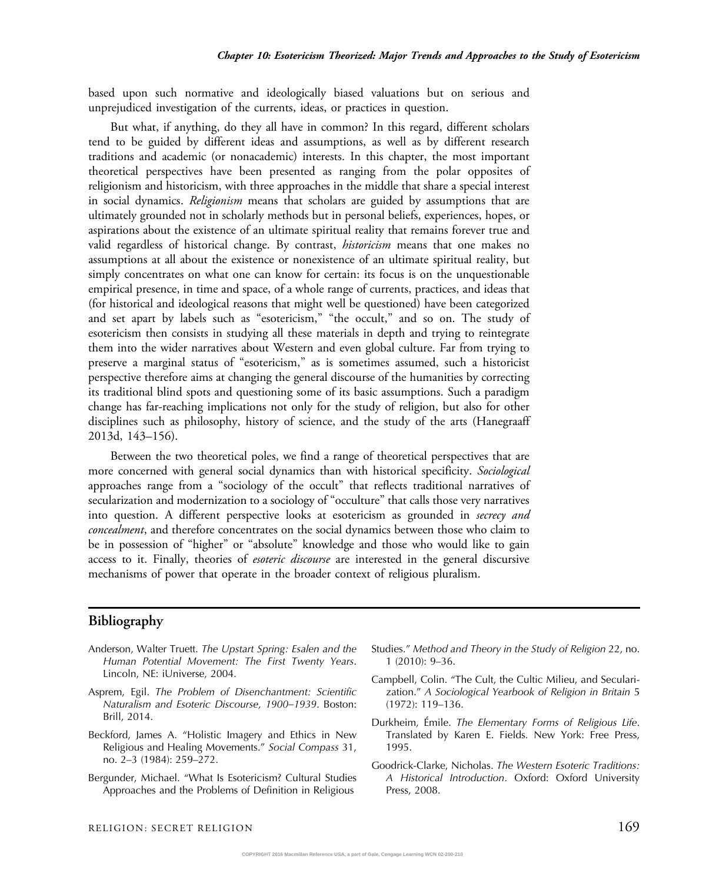based upon such normative and ideologically biased valuations but on serious and unprejudiced investigation of the currents, ideas, or practices in question.

But what, if anything, do they all have in common? In this regard, different scholars tend to be guided by different ideas and assumptions, as well as by different research traditions and academic (or nonacademic) interests. In this chapter, the most important theoretical perspectives have been presented as ranging from the polar opposites of religionism and historicism, with three approaches in the middle that share a special interest in social dynamics. Religionism means that scholars are guided by assumptions that are ultimately grounded not in scholarly methods but in personal beliefs, experiences, hopes, or aspirations about the existence of an ultimate spiritual reality that remains forever true and valid regardless of historical change. By contrast, *historicism* means that one makes no assumptions at all about the existence or nonexistence of an ultimate spiritual reality, but simply concentrates on what one can know for certain: its focus is on the unquestionable empirical presence, in time and space, of a whole range of currents, practices, and ideas that (for historical and ideological reasons that might well be questioned) have been categorized and set apart by labels such as "esotericism," "the occult," and so on. The study of esotericism then consists in studying all these materials in depth and trying to reintegrate them into the wider narratives about Western and even global culture. Far from trying to preserve a marginal status of "esotericism," as is sometimes assumed, such a historicist perspective therefore aims at changing the general discourse of the humanities by correcting its traditional blind spots and questioning some of its basic assumptions. Such a paradigm change has far-reaching implications not only for the study of religion, but also for other disciplines such as philosophy, history of science, and the study of the arts (Hanegraaff 2013d, 143–156).

Between the two theoretical poles, we find a range of theoretical perspectives that are more concerned with general social dynamics than with historical specificity. *Sociological* approaches range from a "sociology of the occult" that reflects traditional narratives of secularization and modernization to a sociology of "occulture" that calls those very narratives into question. A different perspective looks at esotericism as grounded in secrecy and *concealment*, and therefore concentrates on the social dynamics between those who claim to be in possession of "higher" or "absolute" knowledge and those who would like to gain access to it. Finally, theories of *esoteric discourse* are interested in the general discursive mechanisms of power that operate in the broader context of religious pluralism.

#### Bibliography

- Anderson, Walter Truett. The Upstart Spring: Esalen and the Human Potential Movement: The First Twenty Years. Lincoln, NE: iUniverse, 2004.
- Asprem, Egil. The Problem of Disenchantment: Scientific Naturalism and Esoteric Discourse, 1900–1939. Boston: Brill, 2014.
- Beckford, James A. "Holistic Imagery and Ethics in New Religious and Healing Movements." Social Compass 31, no. 2–3 (1984): 259–272.
- Bergunder, Michael. "What Is Esotericism? Cultural Studies Approaches and the Problems of Definition in Religious
- Studies." Method and Theory in the Study of Religion 22, no. 1 (2010): 9–36.
- Campbell, Colin. "The Cult, the Cultic Milieu, and Secularization." A Sociological Yearbook of Religion in Britain 5 (1972): 119–136.
- Durkheim, Émile. The Elementary Forms of Religious Life. Translated by Karen E. Fields. New York: Free Press, 1995.
- Goodrick-Clarke, Nicholas. The Western Esoteric Traditions: A Historical Introduction. Oxford: Oxford University Press, 2008.